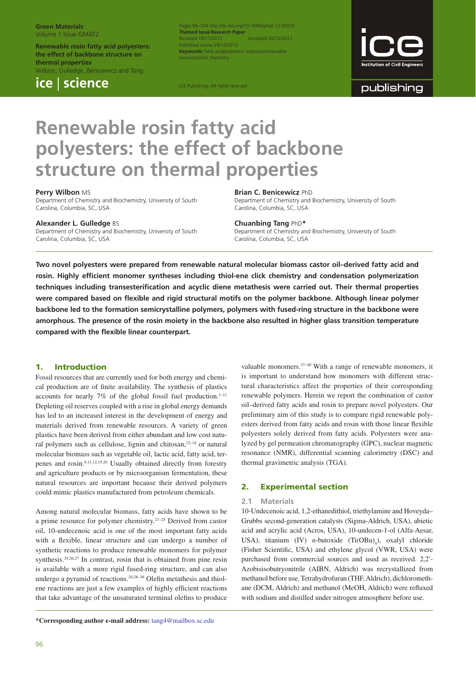#### **Green Materials** Volume 1 Issue GMAT2

**Renewable rosin fatty acid polyesters: the effect of backbone structure on thermal properties** Wilbon, Gulledge, Benicewicz and Tang

**ice** | **science**

Pages 96–104 http://dx.doi.org/10.1680/gmat.12.00019 **Themed Issue Research Paper** Received 19/11/2012 Accepted 20/12/2012 ublished online 29/12/2012 **Keywords:** fatty acid/polym rcas/click chamistry

ICE Publishing: All rights reserved



publishing

# **Renewable rosin fatty acid polyesters: the effect of backbone structure on thermal properties**

### **Perry Wilbon** MS

Department of Chemistry and Biochemistry, University of South Carolina, Columbia, SC, USA

#### **Alexander L. Gulledge** BS

Department of Chemistry and Biochemistry, University of South Carolina, Columbia, SC, USA

#### **Brian C. Benicewicz** PhD

Department of Chemistry and Biochemistry, University of South Carolina, Columbia, SC, USA

#### **Chuanbing Tang** PhD**\***

Department of Chemistry and Biochemistry, University of South Carolina, Columbia, SC, USA

**Two novel polyesters were prepared from renewable natural molecular biomass castor oil–derived fatty acid and**  rosin. Highly efficient monomer syntheses including thiol-ene click chemistry and condensation polymerization techniques including transesterification and acyclic diene metathesis were carried out. Their thermal properties were compared based on flexible and rigid structural motifs on the polymer backbone. Although linear polymer **backbone led to the formation semicrystalline polymers, polymers with fused-ring structure in the backbone were amorphous. The presence of the rosin moiety in the backbone also resulted in higher glass transition temperature**  compared with the flexible linear counterpart.

## **1. Introduction**

Fossil resources that are currently used for both energy and chemical production are of finite availability. The synthesis of plastics accounts for nearly  $7\%$  of the global fossil fuel production.<sup>1–11</sup> Depleting oil reserves coupled with a rise in global energy demands has led to an increased interest in the development of energy and materials derived from renewable resources. A variety of green plastics have been derived from either abundant and low cost natural polymers such as cellulose, lignin and chitosan,<sup>12-18</sup> or natural molecular biomass such as vegetable oil, lactic acid, fatty acid, terpenes and rosin.9,11,12,19,20 Usually obtained directly from forestry and agriculture products or by microorganism fermentation, these natural resources are important because their derived polymers could mimic plastics manufactured from petroleum chemicals.

Among natural molecular biomass, fatty acids have shown to be a prime resource for polymer chemistry.21–25 Derived from castor oil, 10-undecenoic acid is one of the most important fatty acids with a flexible, linear structure and can undergo a number of synthetic reactions to produce renewable monomers for polymer synthesis.24,26,27 In contrast, rosin that is obtained from pine resin is available with a more rigid fused-ring structure, and can also undergo a pyramid of reactions.<sup>20,28-36</sup> Olefin metathesis and thiolene reactions are just a few examples of highly efficient reactions that take advantage of the unsaturated terminal olefins to produce valuable monomers.<sup>37-40</sup> With a range of renewable monomers, it is important to understand how monomers with different structural characteristics affect the properties of their corresponding renewable polymers. Herein we report the combination of castor oil–derived fatty acids and rosin to prepare novel polyesters. Our preliminary aim of this study is to compare rigid renewable polyesters derived from fatty acids and rosin with those linear flexible polyesters solely derived from fatty acids. Polyesters were analyzed by gel permeation chromatography (GPC), nuclear magnetic resonance (NMR), differential scanning calorimetry (DSC) and thermal gravimetric analysis (TGA).

# **2. Experimental section**

#### **2.1 Materials**

10-Undecenoic acid, 1,2-ethanedithiol, triethylamine and Hoveyda– Grubbs second-generation catalysts (Sigma-Aldrich, USA), abietic acid and acrylic acid (Acros, USA), 10-undecen-1-ol (Alfa-Aesar, USA), titanium (IV) *n*-butoxide  $(Ti(OBu)_{4})$ , oxalyl chloride (Fisher Scientific, USA) and ethylene glycol (VWR, USA) were purchased from commercial sources and used as received. 2,2′- Azobisisobutryonitrile (AIBN, Aldrich) was recrystallized from methanol before use. Tetrahydrofuran (THF, Aldrich), dichloromethane (DCM, Aldrich) and methanol (MeOH, Aldrich) were refluxed with sodium and distilled under nitrogen atmosphere before use.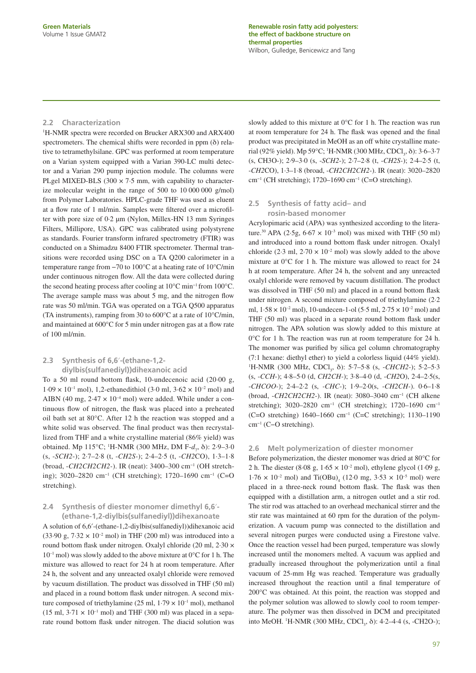## **2.2 Characterization**

1 H-NMR spectra were recorded on Brucker ARX300 and ARX400 spectrometers. The chemical shifts were recorded in ppm  $(\delta)$  relative to tetramethylsilane. GPC was performed at room temperature on a Varian system equipped with a Varian 390-LC multi detector and a Varian 290 pump injection module. The columns were PLgel MIXED-BLS (300  $\times$  7.5 mm, with capability to characterize molecular weight in the range of 500 to 10 000 000 g/mol) from Polymer Laboratories. HPLC-grade THF was used as eluent at a flow rate of 1 ml/min. Samples were filtered over a microfilter with pore size of 0·2 μm (Nylon, Millex-HN 13 mm Syringes Filters, Millipore, USA). GPC was calibrated using polystyrene as standards. Fourier transform infrared spectrometry (FTIR) was conducted on a Shimadzu 8400 FTIR spectrometer. Thermal transitions were recorded using DSC on a TA Q200 calorimeter in a temperature range from −70 to 100°C at a heating rate of 10°C/min under continuous nitrogen flow. All the data were collected during the second heating process after cooling at 10°C min−1 from 100°C. The average sample mass was about 5 mg, and the nitrogen flow rate was 50 ml/min. TGA was operated on a TGA Q500 apparatus (TA instruments), ramping from 30 to 600°C at a rate of 10°C/min, and maintained at  $600^{\circ}$ C for 5 min under nitrogen gas at a flow rate of 100 ml/min.

# **2.3 Synthesis of 6,6**′**-(ethane-1,2 diylbis(sulfanediyl))dihexanoic acid**

To a 50 ml round bottom flask, 10-undecenoic acid (20.00 g,  $1.09 \times 10^{-1}$  mol), 1,2-ethanedithiol (3.0 ml,  $3.62 \times 10^{-2}$  mol) and AIBN (40 mg,  $2.47 \times 10^{-4}$  mol) were added. While under a continuous flow of nitrogen, the flask was placed into a preheated oil bath set at 80°C. After 12 h the reaction was stopped and a white solid was observed. The final product was then recrystallized from THF and a white crystalline material (86% yield) was obtained. Mp 115°C; <sup>1</sup>H-NMR (300 MHz, DM F-*d*<sub>7</sub>, δ): 2·9–3·0 (s, -*SCH2*-); 2·7–2·8 (t, -*CH2S-*); 2·4–2·5 (t, -*CH2*CO), 1·3–1·8 (broad, -*CH2CH2CH2-*). IR (neat): 3400–300 cm−1 (OH stretching); 3020–2820 cm−1 (CH stretching); 1720–1690 cm−1 (C=O stretching).

# **2.4 Synthesis of diester monomer dimethyl 6,6**′**- (ethane-1,2-diylbis(sulfanediyl))dihexanoate**

A solution of 6,6′-(ethane-1,2-diylbis(sulfanediyl))dihexanoic acid (33.90 g,  $7.32 \times 10^{-2}$  mol) in THF (200 ml) was introduced into a round bottom flask under nitrogen. Oxalyl chloride (20 ml, 2·30 ×  $10^{-1}$  mol) was slowly added to the above mixture at  $0^{\circ}$ C for 1 h. The mixture was allowed to react for 24 h at room temperature. After 24 h, the solvent and any unreacted oxalyl chloride were removed by vacuum distillation. The product was dissolved in THF (50 ml) and placed in a round bottom flask under nitrogen. A second mixture composed of triethylamine (25 ml,  $1.79 \times 10^{-1}$  mol), methanol  $(15 \text{ ml}, 3.71 \times 10^{-1} \text{ mol})$  and THF (300 ml) was placed in a separate round bottom flask under nitrogen. The diacid solution was

slowly added to this mixture at 0°C for 1 h. The reaction was run at room temperature for 24 h. The flask was opened and the final product was precipitated in MeOH as an off white crystalline material (92% yield). Mp 59°C; <sup>1</sup>H-NMR (300 MHz, CDCl<sub>3</sub>, δ): 3·6–3·7 (s, CH3O-); 2·9–3·0 (s, -*SCH2*-); 2·7–2·8 (t, -*CH2S-*); 2·4–2·5 (t, -*CH2*CO), 1·3–1·8 (broad, -*CH2CH2CH2-*). IR (neat): 3020–2820 cm−1 (CH stretching); 1720–1690 cm−1 (C=O stretching).

# **2.5 Synthesis of fatty acid– and rosin-based monomer**

Acrylopimaric acid (APA) was synthesized according to the literature.<sup>30</sup> APA (2.5g,  $6.67 \times 10^{-3}$  mol) was mixed with THF (50 ml) and introduced into a round bottom flask under nitrogen. Oxalyl chloride (2.3 ml,  $2.70 \times 10^{-2}$  mol) was slowly added to the above mixture at 0°C for 1 h. The mixture was allowed to react for 24 h at room temperature. After 24 h, the solvent and any unreacted oxalyl chloride were removed by vacuum distillation. The product was dissolved in THF (50 ml) and placed in a round bottom flask under nitrogen. A second mixture composed of triethylamine (2·2 ml,  $1.58 \times 10^{-2}$  mol), 10-undecen-1-ol (5.5 ml,  $2.75 \times 10^{-2}$  mol) and THF (50 ml) was placed in a separate round bottom flask under nitrogen. The APA solution was slowly added to this mixture at 0°C for 1 h. The reaction was run at room temperature for 24 h. The monomer was purified by silica gel column chromatography (7:1 hexane: diethyl ether) to yield a colorless liquid (44% yield). <sup>1</sup>H-NMR (300 MHz, CDCl<sub>3</sub>, δ): 5·7–5·8 (s, -*CHCH2*-); 5·2–5·3 (s, -*CCH*-); 4·8–5·0 (d, *CH2CH-*); 3·8–4·0 (d, -*CH2*O), 2·4–2·5(s, -*CHCOO-*); 2·4–2·2 (s, *-CHC-*); 1·9–2·0(s, -*CH2CH-*). 0·6–1·8 (broad, -*CH2CH2CH2-*). IR (neat): 3080–3040 cm−1 (CH alkene stretching); 3020–2820 cm<sup>-1</sup> (CH stretching); 1720–1690 cm<sup>-1</sup> (C=O stretching) 1640–1660 cm−1 (C=C stretching); 1130–1190 cm−1 (C−O stretching).

#### **2.6 Melt polymerization of diester monomer**

Before polymerization, the diester monomer was dried at 80°C for 2 h. The diester (8.08 g,  $1.65 \times 10^{-2}$  mol), ethylene glycol (1.09 g,  $1.76 \times 10^{-2}$  mol) and Ti(OBu)<sub>4</sub> (12.0 mg,  $3.53 \times 10^{-5}$  mol) were placed in a three-neck round bottom flask. The flask was then equipped with a distillation arm, a nitrogen outlet and a stir rod. The stir rod was attached to an overhead mechanical stirrer and the stir rate was maintained at 60 rpm for the duration of the polymerization. A vacuum pump was connected to the distillation and several nitrogen purges were conducted using a Firestone valve. Once the reaction vessel had been purged, temperature was slowly increased until the monomers melted. A vacuum was applied and gradually increased throughout the polymerization until a final vacuum of 25-mm Hg was reached. Temperature was gradually increased throughout the reaction until a final temperature of 200°C was obtained. At this point, the reaction was stopped and the polymer solution was allowed to slowly cool to room temperature. The polymer was then dissolved in DCM and precipitated into MeOH. <sup>1</sup>H-NMR (300 MHz, CDCl<sub>3</sub>, δ): 4·2–4·4 (s, -CH2O-);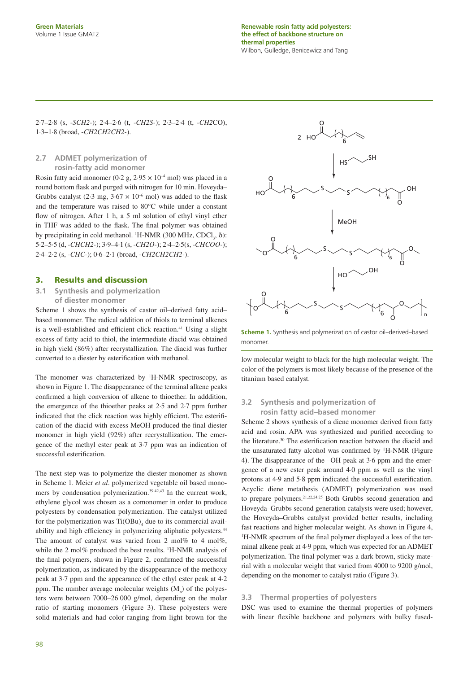2·7–2·8 (s, -*SCH2*-); 2·4–2·6 (t, -*CH2S-*); 2·3–2·4 (t, -*CH2*CO), 1·3–1·8 (broad, -*CH2CH2CH2-*).

# **2.7 ADMET polymerization of rosin-fatty acid monomer**

Rosin fatty acid monomer (0.2 g,  $2.95 \times 10^{-4}$  mol) was placed in a round bottom flask and purged with nitrogen for 10 min. Hoveyda-Grubbs catalyst (2.3 mg,  $3.67 \times 10^{-6}$  mol) was added to the flask and the temperature was raised to 80°C while under a constant flow of nitrogen. After 1 h, a 5 ml solution of ethyl vinyl ether in THF was added to the flask. The final polymer was obtained by precipitating in cold methanol. <sup>1</sup>H-NMR (300 MHz, CDCl<sub>3</sub>,  $\delta$ ): 5·2–5·5 (d, *-CHCH2-*); 3·9–4·1 (s, -*CH2O*-); 2·4–2·5(s, -*CHCOO-*); 2·4–2·2 (s, *-CHC-*); 0·6–2·1 (broad, -*CH2CH2CH2-*).

# **3. Results and discussion**

**3.1 Synthesis and polymerization of diester monomer**

Scheme 1 shows the synthesis of castor oil–derived fatty acid– based monomer. The radical addition of thiols to terminal alkenes is a well-established and efficient click reaction.<sup>41</sup> Using a slight excess of fatty acid to thiol, the intermediate diacid was obtained in high yield (86%) after recrystallization. The diacid was further converted to a diester by esterification with methanol.

The monomer was characterized by <sup>1</sup>H-NMR spectroscopy, as shown in Figure 1. The disappearance of the terminal alkene peaks confirmed a high conversion of alkene to thioether. In adddition, the emergence of the thioether peaks at 2·5 and 2·7 ppm further indicated that the click reaction was highly efficient. The esterification of the diacid with excess MeOH produced the final diester monomer in high yield (92%) after recrystallization. The emergence of the methyl ester peak at 3·7 ppm was an indication of successful esterification.

The next step was to polymerize the diester monomer as shown in Scheme 1. Meier *et al*. polymerized vegetable oil based monomers by condensation polymerization.39,42,43 In the current work, ethylene glycol was chosen as a comonomer in order to produce polyesters by condensation polymerization. The catalyst utilized for the polymerization was  $Ti(OBu)_{4}$  due to its commercial availability and high efficiency in polymerizing aliphatic polyesters.<sup>44</sup> The amount of catalyst was varied from 2 mol% to 4 mol%, while the 2 mol% produced the best results. <sup>1</sup>H-NMR analysis of the final polymers, shown in Figure 2, confirmed the successful polymerization, as indicated by the disappearance of the methoxy peak at 3·7 ppm and the appearance of the ethyl ester peak at 4·2 ppm. The number average molecular weights  $(M_n)$  of the polyesters were between 7000–26 000 g/mol, depending on the molar ratio of starting monomers (Figure 3). These polyesters were solid materials and had color ranging from light brown for the



**Scheme 1.** Synthesis and polymerization of castor oil–derived–based monomer.

low molecular weight to black for the high molecular weight. The color of the polymers is most likely because of the presence of the titanium based catalyst.

# **3.2 Synthesis and polymerization of rosin fatty acid–based monomer**

Scheme 2 shows synthesis of a diene monomer derived from fatty acid and rosin. APA was synthesized and purified according to the literature.<sup>30</sup> The esterification reaction between the diacid and the unsaturated fatty alcohol was confirmed by <sup>1</sup>H-NMR (Figure 4**)**. The disappearance of the –OH peak at 3·6 ppm and the emergence of a new ester peak around 4·0 ppm as well as the vinyl protons at  $4.9$  and  $5.8$  ppm indicated the successful esterification. Acyclic diene metathesis (ADMET) polymerization was used to prepare polymers.21,22,24,25 Both Grubbs second generation and Hoveyda–Grubbs second generation catalysts were used; however, the Hoveyda–Grubbs catalyst provided better results, including fast reactions and higher molecular weight. As shown in Figure 4, <sup>1</sup>H-NMR spectrum of the final polymer displayed a loss of the terminal alkene peak at 4·9 ppm, which was expected for an ADMET polymerization. The final polymer was a dark brown, sticky material with a molecular weight that varied from 4000 to 9200 g/mol, depending on the monomer to catalyst ratio (Figure 3).

# **3.3 Thermal properties of polyesters**

DSC was used to examine the thermal properties of polymers with linear flexible backbone and polymers with bulky fused-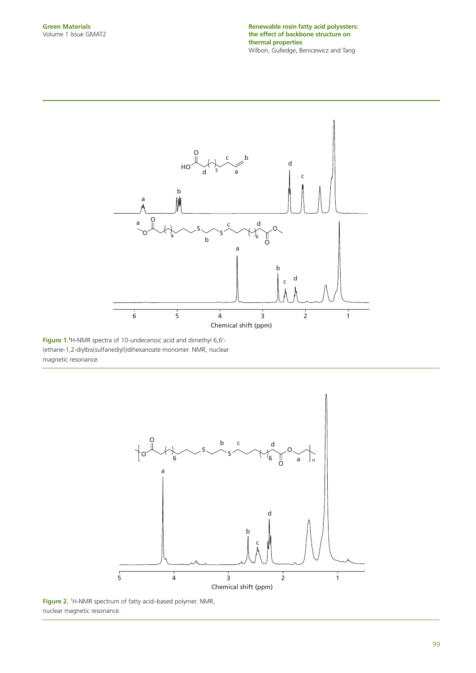

**Figure 1.1** H-NMR spectra of 10-undecenoic acid and dimethyl 6,6′- (ethane-1,2-diylbis(sulfanediyl))dihexanoate monomer. NMR, nuclear magnetic resonance.



**Figure 2.** <sup>1</sup>H-NMR spectrum of fatty acid–based polymer. NMR, nuclear magnetic resonance.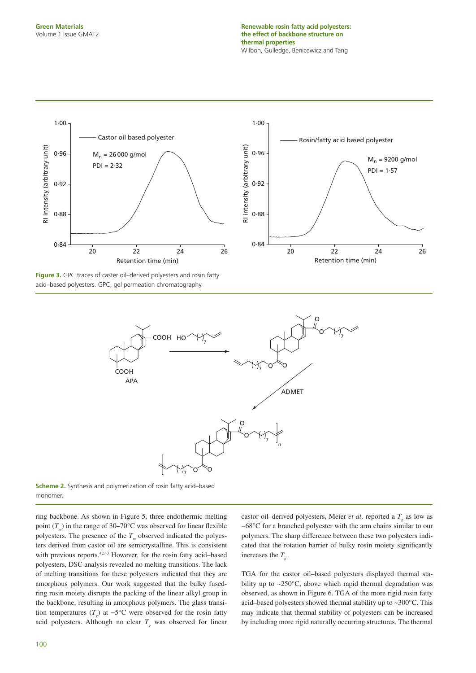

**Figure 3.** GPC traces of caster oil–derived polyesters and rosin fatty acid–based polyesters. GPC, gel permeation chromatography.



**Scheme 2.** Synthesis and polymerization of rosin fatty acid–based monomer.

ring backbone. As shown in Figure 5, three endothermic melting point  $(T_m)$  in the range of 30–70°C was observed for linear flexible polyesters. The presence of the  $T_m$  observed indicated the polyesters derived from castor oil are semicrystalline. This is consistent with previous reports.<sup>42,43</sup> However, for the rosin fatty acid-based polyesters, DSC analysis revealed no melting transitions. The lack of melting transitions for these polyesters indicated that they are amorphous polymers. Our work suggested that the bulky fusedring rosin moiety disrupts the packing of the linear alkyl group in the backbone, resulting in amorphous polymers. The glass transition temperatures ( $T_g$ ) at  $-5^{\circ}$ C were observed for the rosin fatty acid polyesters. Although no clear  $T<sub>g</sub>$  was observed for linear

castor oil–derived polyesters, Meier *et al*. reported a  $T<sub>g</sub>$  as low as −68°C for a branched polyester with the arm chains similar to our polymers. The sharp difference between these two polyesters indicated that the rotation barrier of bulky rosin moiety significantly increases the  $T_{g}$ .

TGA for the castor oil–based polyesters displayed thermal stability up to ~250°C, above which rapid thermal degradation was observed, as shown in Figure 6. TGA of the more rigid rosin fatty acid–based polyesters showed thermal stability up to ~300°C. This may indicate that thermal stability of polyesters can be increased by including more rigid naturally occurring structures. The thermal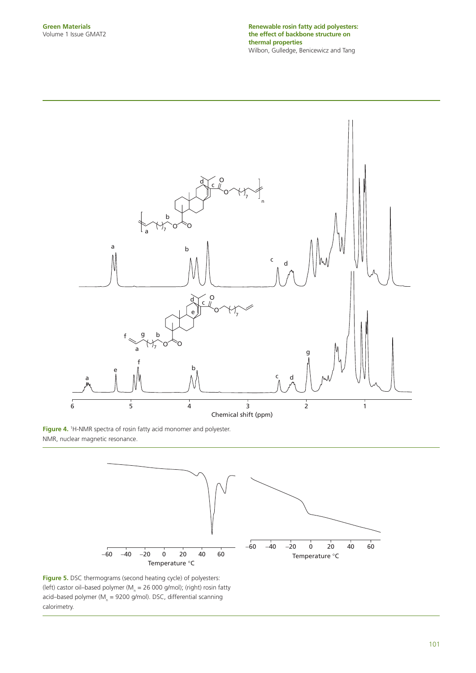**Renewable rosin fatty acid polyesters: the effect of backbone structure on thermal properties** Wilbon, Gulledge, Benicewicz and Tang



**Figure 4.** <sup>1</sup>H-NMR spectra of rosin fatty acid monomer and polyester. NMR, nuclear magnetic resonance.



**Figure 5.** DSC thermograms (second heating cycle) of polyesters: (left) castor oil–based polymer (M<sub>n</sub> = 26 000 g/mol); (right) rosin fatty acid–based polymer (M<sub>n</sub> = 9200 g/mol). DSC, differential scanning calorimetry.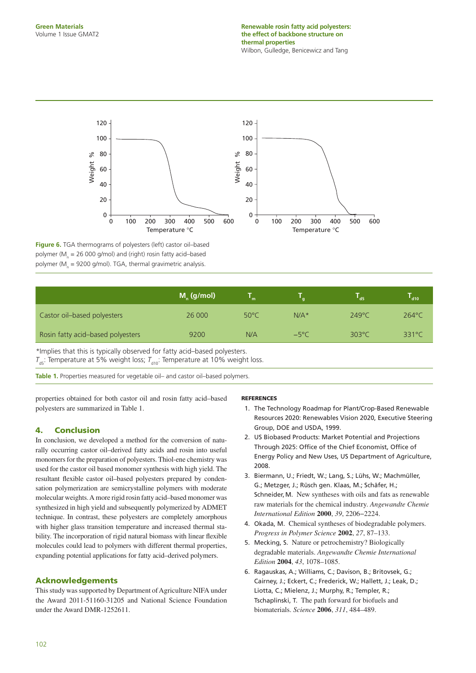

**Figure 6.** TGA thermograms of polyesters (left) castor oil–based polymer ( $M_n$  = 26 000 g/mol) and (right) rosin fatty acid–based polymer (M<sub>n</sub> = 9200 g/mol). TGA, thermal gravimetric analysis.

|                                   | $M_{n}$ (g/mol) |                |                | d <sub>5</sub>  | d10             |
|-----------------------------------|-----------------|----------------|----------------|-----------------|-----------------|
| Castor oil-based polyesters       | 26 000          | $50^{\circ}$ C | $N/A*$         | $249^{\circ}$ C | $264^{\circ}$ C |
| Rosin fatty acid-based polyesters | 9200            | N/A            | $-5^{\circ}$ C | $303^{\circ}$ C | $331^{\circ}$ C |

*\**Implies that this is typically observed for fatty acid–based polyesters.  $T_{\text{ds}}$ : Temperature at 5% weight loss;  $T_{\text{d10}}$ : Temperature at 10% weight loss.

Table 1. Properties measured for vegetable oil- and castor oil-based polymers.

properties obtained for both castor oil and rosin fatty acid–based polyesters are summarized in Table 1.

# **4. Conclusion**

In conclusion, we developed a method for the conversion of naturally occurring castor oil–derived fatty acids and rosin into useful monomers for the preparation of polyesters. Thiol-ene chemistry was used for the castor oil based monomer synthesis with high yield. The resultant flexible castor oil-based polyesters prepared by condensation polymerization are semicrystalline polymers with moderate molecular weights. A more rigid rosin fatty acid–based monomer was synthesized in high yield and subsequently polymerized by ADMET technique. In contrast, these polyesters are completely amorphous with higher glass transition temperature and increased thermal stability. The incorporation of rigid natural biomass with linear flexible molecules could lead to polymers with different thermal properties, expanding potential applications for fatty acid–derived polymers.

# **Acknowledgements**

This study was supported by Department of Agriculture NIFA under the Award 2011-51160-31205 and National Science Foundation under the Award DMR-1252611.

## **REFERENCES**

- 1. The Technology Roadmap for Plant/Crop-Based Renewable Resources 2020: Renewables Vision 2020, Executive Steering Group, DOE and USDA, 1999.
- 2. US Biobased Products: Market Potential and Projections Through 2025: Office of the Chief Economist, Office of Energy Policy and New Uses, US Department of Agriculture, 2008.
- 3. Biermann, U.; Friedt, W.; Lang, S.; Lühs, W.; Machmüller, G.; Metzger, J.; Rüsch gen. Klaas, M.; Schäfer, H.; Schneider, M. New syntheses with oils and fats as renewable raw materials for the chemical industry. *Angewandte Chemie International Edition* **2000**, *39*, 2206−2224.
- 4. Okada, M. Chemical syntheses of biodegradable polymers. *Progress in Polymer Science* **2002**, *27*, 87–133.
- 5. Mecking, S. Nature or petrochemistry? Biologically degradable materials. *Angewandte Chemie International Edition* **2004**, *43*, 1078–1085.
- 6. Ragauskas, A.; Williams, C.; Davison, B.; Britovsek, G.; Cairney, J.; Eckert, C.; Frederick, W.; Hallett, J.; Leak, D.; Liotta, C.; Mielenz, J.; Murphy, R.; Templer, R.; Tschaplinski, T. The path forward for biofuels and biomaterials. *Science* **2006**, *311*, 484–489.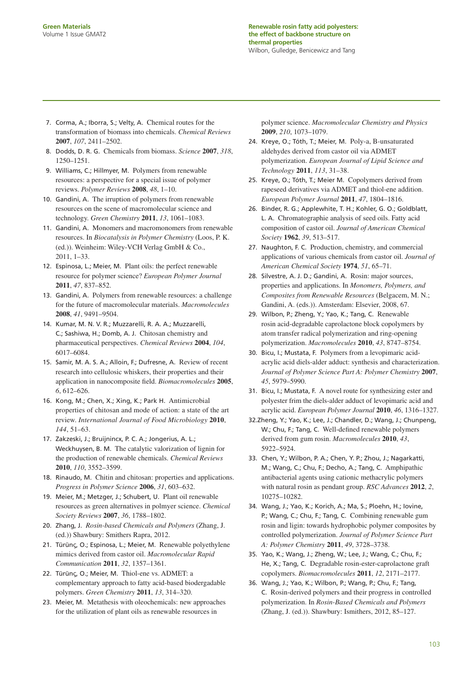- 7. Corma, A.; Iborra, S.; Velty, A. Chemical routes for the transformation of biomass into chemicals. *Chemical Reviews* **2007**, *107*, 2411–2502.
- 8. Dodds, D. R. G. Chemicals from biomass. *Science* **2007**, *318*, 1250–1251.
- 9. Williams, C.; Hillmyer, M. Polymers from renewable resources: a perspective for a special issue of polymer reviews. *Polymer Reviews* **2008**, *48*, 1–10.
- 10. Gandini, A. The irruption of polymers from renewable resources on the scene of macromolecular science and technology. *Green Chemistry* **2011**, *13*, 1061–1083.
- 11. Gandini, A. Monomers and macromonomers from renewable resources. In *Biocatalysis in Polymer Chemistry* (Loos, P. K. (ed.)). Weinheim: Wiley-VCH Verlag GmbH & Co., 2011, 1–33.
- 12. Espinosa, L.; Meier, M. Plant oils: the perfect renewable resource for polymer science? *European Polymer Journal* **2011**, *47*, 837–852.
- 13. Gandini, A. Polymers from renewable resources: a challenge for the future of macromolecular materials. *Macromolecules* **2008**, *41*, 9491–9504.
- 14. Kumar, M. N. V. R.; Muzzarelli, R. A. A.; Muzzarelli, C.; Sashiwa, H.; Domb, A. J. Chitosan chemistry and pharmaceutical perspectives. *Chemical Reviews* **2004**, *104*, 6017–6084.
- 15. Samir, M. A. S. A.; Alloin, F.; Dufresne, A. Review of recent research into cellulosic whiskers, their properties and their application in nanocomposite field. *Biomacromolecules* 2005, *6*, 612–626.
- 16. Kong, M.; Chen, X.; Xing, K.; Park H. Antimicrobial properties of chitosan and mode of action: a state of the art review. *International Journal of Food Microbiology* **2010**, *144*, 51–63.
- 17. Zakzeski, J.; Bruijnincx, P. C. A.; Jongerius, A. L.; Weckhuysen, B. M. The catalytic valorization of lignin for the production of renewable chemicals. *Chemical Reviews* **2010**, *110*, 3552–3599.
- 18. Rinaudo, M. Chitin and chitosan: properties and applications. *Progress in Polymer Science* **2006**, *31*, 603–632.
- 19. Meier, M.; Metzger, J.; Schubert, U. Plant oil renewable resources as green alternatives in polmyer science. *Chemical Society Reviews* **2007**, *36*, 1788–1802.
- 20. Zhang, J. *Rosin-based Chemicals and Polymers* (Zhang, J. (ed.)) Shawbury: Smithers Rapra, 2012.
- 21. Türünς, O.; Espinosa, L.; Meier, M. Renewable polyethylene mimics derived from castor oil. *Macromolecular Rapid Communication* **2011**, *32*, 1357–1361.
- 22. Türünς, O.; Meier, M. Thiol-ene vs. ADMET: a complementary approach to fatty acid-based biodergadable polymers. *Green Chemistry* **2011**, *13*, 314–320.
- 23. Meier, M. Metathesis with oleochemicals: new approaches for the utilization of plant oils as renewable resources in

polymer science. *Macromolecular Chemistry and Physics* **2009**, *210*, 1073–1079.

- 24. Kreye, O.; Tóth, T.; Meier, M. Poly-a, B-unsaturated aldehydes derived from castor oil via ADMET polymerization. *European Journal of Lipid Science and Technology* **2011**, *113*, 31–38.
- 25. Kreye, O.; Tóth, T.; Meier M. Copolymers derived from rapeseed derivatives via ADMET and thiol-ene addition. *European Polymer Journal* **2011**, *47*, 1804–1816.
- 26. Binder, R. G.; Applewhite, T. H.; Kohler, G. O.; Goldblatt, L. A. Chromatographie analysis of seed oils. Fatty acid composition of castor oil. *Journal of American Chemical Society* **1962**, *39*, 513–517.
- 27. Naughton, F. C. Production, chemistry, and commercial applications of various chemicals from castor oil. *Journal of American Chemical Society* **1974**, *51*, 65–71.
- 28. Silvestre, A. J. D.; Gandini, A. Rosin: major sources, properties and applications. In *Monomers, Polymers, and Composites from Renewable Resources* (Belgacem, M. N.; Gandini, A. (eds.)). Amsterdam: Elsevier, 2008, 67.
- 29. Wilbon, P.; Zheng, Y.; Yao, K.; Tang, C. Renewable rosin acid-degradable caprolactone block copolymers by atom transfer radical polymerization and ring-opening polymerization. *Macromolecules* **2010**, *43*, 8747–8754.
- 30. Bicu, I.; Mustata, F. Polymers from a levopimaric acidacrylic acid diels-alder adduct: synthesis and characterization. *Journal of Polymer Science Part A: Polymer Chemistry* **2007**, *45*, 5979–5990.
- 31. Bicu, I.; Mustata, F. A novel route for synthesizing ester and polyester frim the diels-alder adduct of levopimaric acid and acrylic acid. *European Polymer Journal* **2010**, *46*, 1316–1327.
- 32.Zheng, Y.; Yao, K.; Lee, J.; Chandler, D.; Wang, J.; Chunpeng, W.; Chu, F.; Tang, C. Well-defined renewable polymers derived from gum rosin. *Macromolecules* **2010**, *43*, 5922–5924.
- 33. Chen, Y.; Wilbon, P. A.; Chen, Y. P.; Zhou, J.; Nagarkatti, M.; Wang, C.; Chu, F.; Decho, A.; Tang, C. Amphipathic antibacterial agents using cationic methacrylic polymers with natural rosin as pendant group. *RSC Advances* **2012**, *2*, 10275–10282.
- 34. Wang, J.; Yao, K.; Korich, A.; Ma, S.; Ploehn, H.; Iovine, P.; Wang, C.; Chu, F.; Tang, C. Combining renewable gum rosin and ligin: towards hydrophobic polymer composites by controlled polymerization. *Journal of Polymer Science Part A: Polymer Chemistry* **2011**, *49*, 3728–3738.
- 35. Yao, K.; Wang, J.; Zheng, W.; Lee, J.; Wang, C.; Chu, F.; He, X.; Tang, C. Degradable rosin-ester-caprolactone graft copolymers. *Biomacromolecules* **2011**, *12*, 2171–2177.
- 36. Wang, J.; Yao, K.; Wilbon, P.; Wang, P.; Chu, F.; Tang, C. Rosin-derived polymers and their progress in controlled polymerization. In *Rosin-Based Chemicals and Polymers* (Zhang, J. (ed.)). Shawbury: Ismithers, 2012, 85–127.